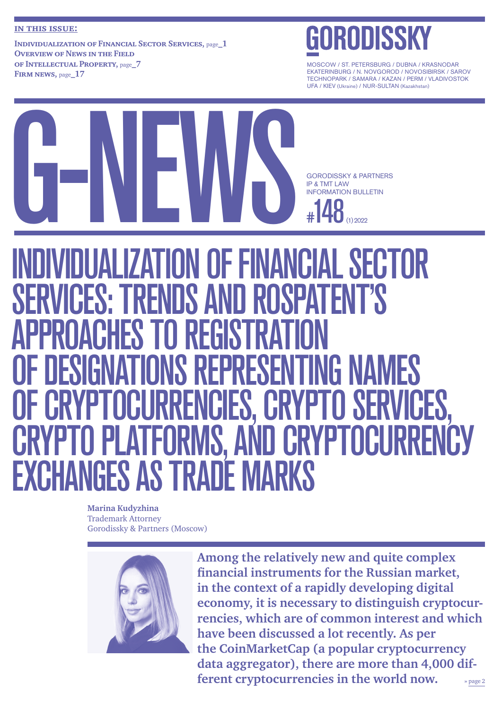#### **in this issue:**

**Individualization of [Financial Sector Services,](#page-0-0)** page**\_1 [Overview of](#page-6-0) News in the Field of [Intellectual Property,](#page-6-0)** page**\_7 Firm news,** page**[\\_17](#page-16-0)**

MOSCOW / ST. PETERSBURG / DUBNA / KRASNODAR EKATERINBURG / N. NOVGOROD / NOVOSIBIRSK / SAROV TECHNOPARK / SAMARA / KAZAN / PERM / VLADIVOSTOK UFA / KIEV (Ukraine) / NUR-SULTAN (Kazakhstan)



# <span id="page-0-0"></span>DUALIZATION OF FINANCIAL SECTOR<br>CES: TRENDS AND ROSPATENT'S SERVICES: TRENDS AND ROSPATENT'S APPROACHES TO REGISTRATION OF DESIGNATIONS REPRESENTING NAMES OF CRYPTOCURRENCIES, CRYPTO SERVICES, **CRYPTO PLATFORMS, AND CRYPTOCURRENCY** EXCHANGES AS TRADE MARKS

**Marina Kudyzhina** Trademark Attorney Gorodissky & Partners (Moscow)



 **»** page 2 **Among the relatively new and quite complex financial instruments for the Russian market, in the context of a rapidly developing digital economy, it is necessary to distinguish cryptocurrencies, which are of common interest and which have been discussed a lot recently. As per the CoinMarketCap (a popular cryptocurrency data aggregator), there are more than 4,000 different cryptocurrencies in the world now.**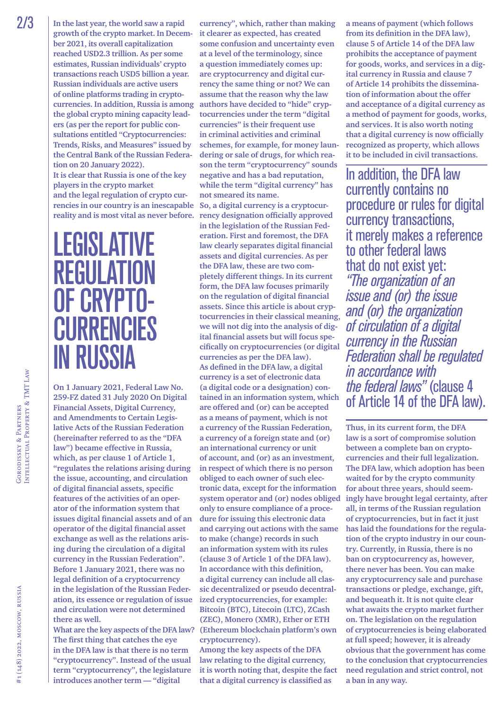**In the last year, the world saw a rapid growth of the crypto market. In December 2021, its overall capitalization reached USD2.3 trillion. As per some estimates, Russian individuals' crypto transactions reach USD5 billion a year. Russian individuals are active users of online platforms trading in cryptocurrencies. In addition, Russia is among the global crypto mining capacity leaders (as per the report for public consultations entitled "Cryptocurrencies: Trends, Risks, and Measures" issued by the Central Bank of the Russian Federation on 20 January 2022). It is clear that Russia is one of the key players in the crypto market and the legal regulation of crypto currencies in our country is an inescapable reality and is most vital as never before. 2/3**  $\vert$  In the last year, the world saw a rapid currency", which, rather than making

# **LEGISLATIVE REGULATION<br>OF CRYPTO-CURRENCIES** *IN RUSSIA*

**On 1 January 2021, Federal Law No. 259-FZ dated 31 July 2020 On Digital Financial Assets, Digital Currency, and Amendments to Certain Legislative Acts of the Russian Federation (hereinafter referred to as the "DFA law") became effective in Russia, which, as per clause 1 of Article 1, "regulates the relations arising during the issue, accounting, and circulation of digital financial assets, specific features of the activities of an operator of the information system that issues digital financial assets and of an operator of the digital financial asset exchange as well as the relations arising during the circulation of a digital currency in the Russian Federation". Before 1 January 2021, there was no legal definition of a cryptocurrency in the legislation of the Russian Federation, its essence or regulation of issue and circulation were not determined there as well.**

**What are the key aspects of the DFA law? The first thing that catches the eye in the DFA law is that there is no term "cryptocurrency". Instead of the usual term "cryptocurrency", the legislature introduces another term — "digital** 

**it clearer as expected, has created some confusion and uncertainty even at a level of the terminology, since a question immediately comes up: are cryptocurrency and digital currency the same thing or not? We can assume that the reason why the law authors have decided to "hide" cryptocurrencies under the term "digital currencies" is their frequent use in criminal activities and criminal schemes, for example, for money laundering or sale of drugs, for which reason the term "cryptocurrency" sounds negative and has a bad reputation, while the term "digital currency" has not smeared its name.**

**So, a digital currency is a cryptocurrency designation officially approved in the legislation of the Russian Federation. First and foremost, the DFA law clearly separates digital financial assets and digital currencies. As per the DFA law, these are two completely different things. In its current form, the DFA law focuses primarily on the regulation of digital financial assets. Since this article is about cryptocurrencies in their classical meaning, we will not dig into the analysis of digital financial assets but will focus specifically on cryptocurrencies (or digital currencies as per the DFA law). As defined in the DFA law, a digital currency is a set of electronic data (a digital code or a designation) contained in an information system, which are offered and (or) can be accepted as a means of payment, which is not a currency of the Russian Federation, a currency of a foreign state and (or) an international currency or unit of account, and (or) as an investment, in respect of which there is no person obliged to each owner of such electronic data, except for the information system operator and (or) nodes obliged only to ensure compliance of a procedure for issuing this electronic data and carrying out actions with the same to make (change) records in such an information system with its rules (clause 3 of Article 1 of the DFA law). In accordance with this definition, a digital currency can include all classic decentralized or pseudo decentralized cryptocurrencies, for example: Bitcoin (BTC), Litecoin (LTC), ZCash (ZEC), Monero (XMR), Ether or ETH (Ethereum blockchain platform's own cryptocurrency).**

**Among the key aspects of the DFA law relating to the digital currency, it is worth noting that, despite the fact that a digital currency is classified as** 

**a means of payment (which follows from its definition in the DFA law), clause 5 of Article 14 of the DFA law prohibits the acceptance of payment for goods, works, and services in a digital currency in Russia and clause 7 of Article 14 prohibits the dissemination of information about the offer and acceptance of a digital currency as a method of payment for goods, works, and services. It is also worth noting that a digital currency is now officially recognized as property, which allows it to be included in civil transactions.**

In addition, the DFA law currently contains no procedure or rules for digital currency transactions, it merely makes a reference to other federal laws that do not exist yet: "The organization of an issue and (or) the issue and (or) the organization of circulation of a digital currency in the Russian Federation shall be regulated in accordance with the federal laws" (clause 4 ofArticle 14 of the DFA law).

**Thus, in its current form, the DFA law is a sort of compromise solution between a complete ban on cryptocurrencies and their full legalization. The DFA law, which adoption has been waited for by the crypto community for about three years, should seemingly have brought legal certainty, after all, in terms of the Russian regulation of cryptocurrencies, but in fact it just has laid the foundations for the regulation of the crypto industry in our country. Currently, in Russia, there is no ban on cryptocurrency as, however, there never has been. You can make any cryptocurrency sale and purchase transactions or pledge, exchange, gift, and bequeath it. It is not quite clear what awaits the crypto market further on. The legislation on the regulation of cryptocurrencies is being elaborated at full speed; however, it is already obvious that the government has come to the conclusion that cryptocurrencies need regulation and strict control, not a ban in any way.**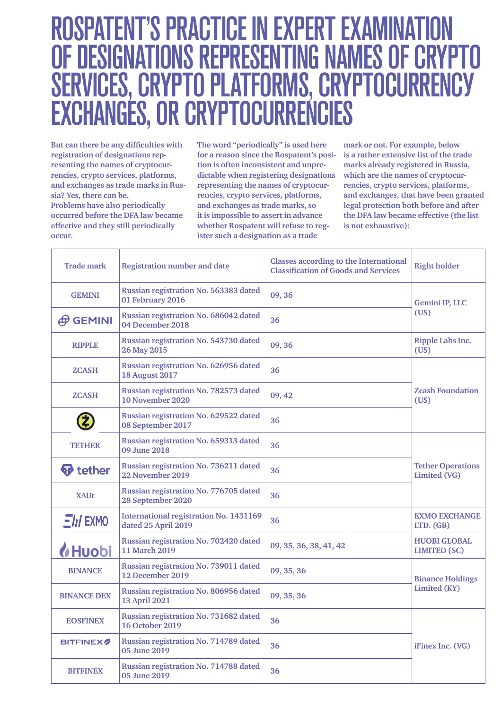# ROSPATENT'S PRACTICE IN EXPERT EXAMINAT OF DESIGNATIONS REPRESENTING NAMES OF CRYPTO SERVICES, CRYPTO PLATFORMS, CRYPTOCURRENCY EXCHANGÉS, OR CRYPTOCURRENCIES

**But can there be any difficulties with registration of designations representing the names of cryptocurrencies, crypto services, platforms, and exchanges as trade marks in Russia? Yes, there can be. Problems have also periodically occurred before the DFA law became effective and they still periodically occur.** 

**The word "periodically" is used here for a reason since the Rospatent's position is often inconsistent and unpredictable when registering designations representing the names of cryptocurrencies, crypto services, platforms, and exchanges as trade marks, so it is impossible to assert in advance whether Rospatent will refuse to register such a designation as a trade** 

**mark or not. For example, below is a rather extensive list of the trade marks already registered in Russia, which are the names of cryptocurrencies, crypto services, platforms, and exchanges, that have been granted legal protection both before and after the DFA law became effective (the list is not exhaustive):**

| <b>Trade mark</b>  | <b>Registration number and date</b>                                  | <b>Classes according to the International</b><br><b>Right holder</b><br><b>Classification of Goods and Services</b> |                                            |  |
|--------------------|----------------------------------------------------------------------|---------------------------------------------------------------------------------------------------------------------|--------------------------------------------|--|
| <b>GEMINI</b>      | Russian registration No. 563383 dated<br>09, 36<br>01 February 2016  |                                                                                                                     | Gemini IP, LLC                             |  |
| $\oplus$ GEMINI    | Russian registration No. 686042 dated<br>04 December 2018            | 36                                                                                                                  | (US)                                       |  |
| <b>RIPPLE</b>      | Russian registration No. 543730 dated<br>26 May 2015                 | 09, 36                                                                                                              | <b>Ripple Labs Inc.</b><br>(US)            |  |
| <b>ZCASH</b>       | Russian registration No. 626956 dated<br><b>18 August 2017</b>       | 36                                                                                                                  |                                            |  |
| <b>ZCASH</b>       | Russian registration No. 782573 dated<br>10 November 2020            | 09, 42                                                                                                              | <b>Zcash Foundation</b><br>(US)            |  |
| 2                  | Russian registration No. 629522 dated<br>08 September 2017           | 36                                                                                                                  |                                            |  |
| TETHER             | Russian registration No. 659313 dated<br>09 June 2018                | 36                                                                                                                  |                                            |  |
| <b>⊕</b> tether    | Russian registration No. 736211 dated<br>22 November 2019            | 36                                                                                                                  | <b>Tether Operations</b><br>Limited (VG)   |  |
| <b>XAUt</b>        | Russian registration No. 776705 dated<br>28 September 2020           | 36                                                                                                                  |                                            |  |
| $E/d$ EXMO         | <b>International registration No. 1431169</b><br>dated 25 April 2019 | 36                                                                                                                  | <b>EXMO EXCHANGE</b><br>LTD. (GB)          |  |
| <b>&amp;Huobi</b>  | Russian registration No. 702420 dated<br><b>11 March 2019</b>        | 09, 35, 36, 38, 41, 42                                                                                              | <b>HUOBI GLOBAL</b><br><b>LIMITED (SC)</b> |  |
| <b>BINANCE</b>     | Russian registration No. 739011 dated<br>12 December 2019            | 09, 35, 36                                                                                                          | <b>Binance Holdings</b>                    |  |
| <b>BINANCE DEX</b> | Russian registration No. 806956 dated<br>13 April 2021               | 09, 35, 36                                                                                                          | Limited (KY)                               |  |
| <b>EOSFINEX</b>    | Russian registration No. 731682 dated<br><b>16 October 2019</b>      | 36                                                                                                                  |                                            |  |
| <b>BITFINEX</b>    | Russian registration No. 714789 dated<br>05 June 2019                | 36                                                                                                                  | iFinex Inc. (VG)                           |  |
| <b>BITFINEX</b>    | Russian registration No. 714788 dated<br>05 June 2019                | 36                                                                                                                  |                                            |  |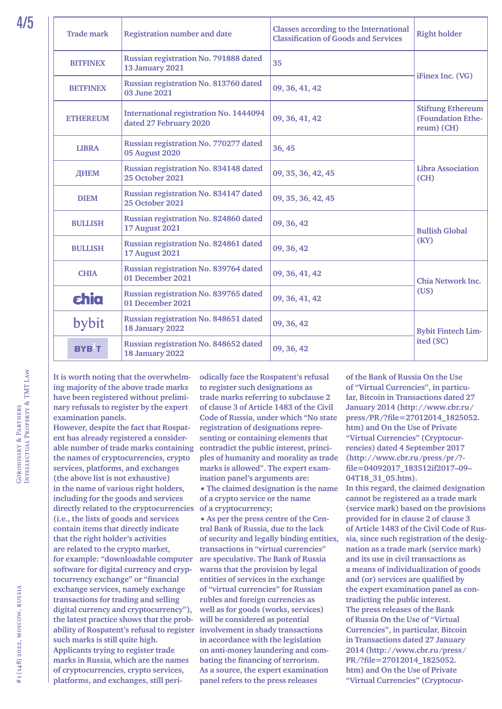| <b>Trade mark</b> | <b>Classes according to the International</b><br><b>Registration number and date</b><br><b>Classification of Goods and Services</b> |                    | <b>Right holder</b>                                         |  |
|-------------------|-------------------------------------------------------------------------------------------------------------------------------------|--------------------|-------------------------------------------------------------|--|
| <b>BITFINEX</b>   | Russian registration No. 791888 dated<br><b>13 January 2021</b>                                                                     | 35                 | iFinex Inc. (VG)                                            |  |
| <b>BETFINEX</b>   | Russian registration No. 813760 dated<br>03 June 2021                                                                               | 09, 36, 41, 42     |                                                             |  |
| <b>ETHEREUM</b>   | <b>International registration No. 1444094</b><br>dated 27 February 2020                                                             | 09, 36, 41, 42     | <b>Stiftung Ethereum</b><br>(Foundation Ethe-<br>reum) (CH) |  |
| <b>LIBRA</b>      | Russian registration No. 770277 dated<br><b>05 August 2020</b>                                                                      | 36, 45             |                                                             |  |
| ДИЕМ              | Russian registration No. 834148 dated<br><b>25 October 2021</b>                                                                     | 09, 35, 36, 42, 45 | <b>Libra Association</b><br>(CH)                            |  |
| <b>DIEM</b>       | Russian registration No. 834147 dated<br><b>25 October 2021</b>                                                                     | 09, 35, 36, 42, 45 |                                                             |  |
| <b>BULLISH</b>    | Russian registration No. 824860 dated<br><b>17 August 2021</b>                                                                      | 09, 36, 42         | <b>Bullish Global</b>                                       |  |
| <b>BULLISH</b>    | Russian registration No. 824861 dated<br><b>17 August 2021</b>                                                                      | 09, 36, 42         | (KY)                                                        |  |
| <b>CHIA</b>       | Russian registration No. 839764 dated<br>01 December 2021                                                                           | 09, 36, 41, 42     | <b>Chia Network Inc.</b>                                    |  |
| <b>chia</b>       | Russian registration No. 839765 dated<br>01 December 2021                                                                           | 09, 36, 41, 42     | (US)                                                        |  |
| bybit             | Russian registration No. 848651 dated<br>18 January 2022                                                                            | 09, 36, 42         | <b>Bybit Fintech Lim-</b>                                   |  |
| <b>BYB</b> T      | Russian registration No. 848652 dated<br>18 January 2022                                                                            | 09, 36, 42         | ited (SC)                                                   |  |

**It is worth noting that the overwhelming majority of the above trade marks have been registered without preliminary refusals to register by the expert examination panels.**

**However, despite the fact that Rospatent has already registered a considerable number of trade marks containing the names of cryptocurrencies, crypto services, platforms, and exchanges (the above list is not exhaustive) in the name of various right holders, including for the goods and services directly related to the cryptocurrencies (i.e., the lists of goods and services contain items that directly indicate that the right holder's activities are related to the crypto market, for example: "downloadable computer software for digital currency and cryptocurrency exchange" or "financial exchange services, namely exchange transactions for trading and selling digital currency and cryptocurrency"), the latest practice shows that the probability of Rospatent's refusal to register involvement in shady transactions such marks is still quite high. Applicants trying to register trade marks in Russia, which are the names of cryptocurrencies, crypto services, platforms, and exchanges, still peri-**

**odically face the Rospatent's refusal to register such designations as trade marks referring to subclause 2 of clause 3 of Article 1483 of the Civil Code of Russia, under which "No state registration of designations representing or containing elements that contradict the public interest, principles of humanity and morality as trade marks is allowed". The expert examination panel's arguments are: •The claimed designation is the name of a crypto service or the name** 

**of a cryptocurrency;**

**•As per the press centre of the Central Bank of Russia, due to the lack of security and legally binding entities, transactions in "virtual currencies" are speculative. The Bank of Russia warns that the provision by legal entities of services in the exchange of "virtual currencies" for Russian rubles and foreign currencies as well as for goods (works, services) will be considered as potential in accordance with the legislation on anti-money laundering and combating the financing of terrorism. As a source, the expert examination panel refers to the press releases** 

**of the Bank of Russia On the Use of "Virtual Currencies", in particular, Bitcoin in Transactions dated 27 January 2014 ([http://www.cbr.ru/](http://www.cbr.ru/press/PR/?file=27012014_1825052.htm) [press/PR/?file=27012014\\_1825052.](http://www.cbr.ru/press/PR/?file=27012014_1825052.htm) [htm\)](http://www.cbr.ru/press/PR/?file=27012014_1825052.htm) and On the Use of Private "Virtual Currencies" (Cryptocurrencies) dated 4 September 2017 [\(http://www.cbr.ru/press/pr/?](http://www.cbr.ru/press/pr/?file=04092017_183512if2017-09-04T18_31_05.htm) [file=04092017\\_183512if2017–09–](http://www.cbr.ru/press/pr/?file=04092017_183512if2017-09-04T18_31_05.htm) [04T18\\_31\\_05.htm\)](http://www.cbr.ru/press/pr/?file=04092017_183512if2017-09-04T18_31_05.htm). In this regard, the claimed designation cannot be registered as a trade mark (service mark) based on the provisions provided for in clause 2 of clause 3 of Article 1483 of the Civil Code of Russia, since such registration of the designation as a trade mark (service mark) and its use in civil transactions as a means of individualization of goods and (or) services are qualified by** 

**the expert examination panel as contradicting the public interest. The press releases of the Bank of Russia On the Use of "Virtual Currencies", in particular, Bitcoin in Transactions dated 27 January 2014 [\(http://www.cbr.ru/press/](http://www.cbr.ru/press/PR/?file=27012014_1825052.htm) [PR/?file=27012014\\_1825052.](http://www.cbr.ru/press/PR/?file=27012014_1825052.htm) [htm\)](http://www.cbr.ru/press/PR/?file=27012014_1825052.htm) and On the Use of Private "Virtual Currencies" (Cryptocur-**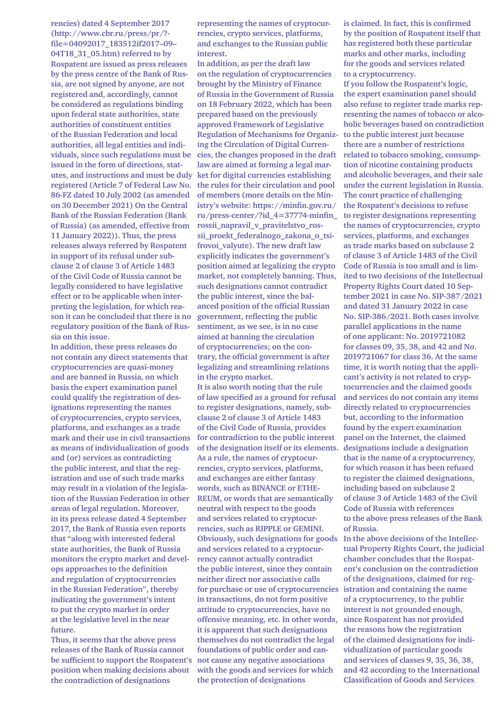**rencies) dated 4 September 2017 [\(http://www.cbr.ru/press/pr/?](http://www.cbr.ru/press/pr/?file=04092017_183512if2017-09-04T18_31_05.htm) [file=04092017\\_183512if2017–09–](http://www.cbr.ru/press/pr/?file=04092017_183512if2017-09-04T18_31_05.htm) [04T18\\_31\\_05.htm\)](http://www.cbr.ru/press/pr/?file=04092017_183512if2017-09-04T18_31_05.htm) referred to by Rospatent are issued as press releases by the press centre of the Bank of Russia, are not signed by anyone, are not registered and, accordingly, cannot be considered as regulations binding upon federal state authorities, state authorities of constituent entities of the Russian Federation and local authorities, all legal entities and individuals, since such regulations must be issued in the form of directions, statutes, and instructions and must be duly ket for digital currencies establishing registered (Article 7 of Federal Law No. the rules for their circulation and pool 86-FZ dated 10 July 2002 (as amended on 30 December 2021) On the Central Bank of the Russian Federation (Bank of Russia) (as amended, effective from 11 January 2022)). Thus, the press releases always referred by Rospatent in support of its refusal under subclause 2 of clause 3 of Article 1483 of the Civil Code of Russia cannot be legally considered to have legislative effect or to be applicable when interpreting the legislation, for which reason it can be concluded that there is no regulatory position of the Bank of Russia on this issue.**

**In addition, these press releases do not contain any direct statements that cryptocurrencies are quasi-money and are banned in Russia, on which basis the expert examination panel could qualify the registration of designations representing the names of cryptocurrencies, crypto services, platforms, and exchanges as a trade mark and their use in civil transactions for contradiction to the public interest as means of individualization of goods and (or) services as contradicting the public interest, and that the registration and use of such trade marks may result in a violation of the legislation of the Russian Federation in other areas of legal regulation. Moreover, in its press release dated 4 September 2017, the Bank of Russia even reports that "along with interested federal state authorities, the Bank of Russia monitors the crypto market and develops approaches to the definition and regulation of cryptocurrencies in the Russian Federation", thereby indicating the government's intent to put the crypto market in order at the legislative level in the near future.**

**Thus, it seems that the above press releases of the Bank of Russia cannot be sufficient to support the Rospatent's position when making decisions about the contradiction of designations** 

**representing the names of cryptocurrencies, crypto services, platforms, and exchanges to the Russian public interest.**

**In addition, as per the draft law on the regulation of cryptocurrencies brought by the Ministry of Finance of Russia in the Government of Russia on 18 February 2022, which has been prepared based on the previously approved Framework of Legislative Regulation of Mechanisms for Organiz-to the public interest just because ing the Circulation of Digital Currencies, the changes proposed in the draft related to tobacco smoking, consumplaw are aimed at forming a legal marof members (more details on the Ministry's website: [https://minfin.gov.ru/](https://minfin.gov.ru/ru/press--center/?id_4=37774minfin_rossii_napravil_v_pravitelstvo_rossii_proekt_federalnogo_zakona_o_tsifrovoi_valyute) [ru/press-center/?id\\_4=37774-minfin\\_](https://minfin.gov.ru/ru/press--center/?id_4=37774minfin_rossii_napravil_v_pravitelstvo_rossii_proekt_federalnogo_zakona_o_tsifrovoi_valyute) [rossii\\_napravil\\_v\\_pravitelstvo\\_ros](https://minfin.gov.ru/ru/press--center/?id_4=37774minfin_rossii_napravil_v_pravitelstvo_rossii_proekt_federalnogo_zakona_o_tsifrovoi_valyute)[sii\\_proekt\\_federalnogo\\_zakona\\_o\\_tsi](https://minfin.gov.ru/ru/press--center/?id_4=37774minfin_rossii_napravil_v_pravitelstvo_rossii_proekt_federalnogo_zakona_o_tsifrovoi_valyute)[frovoi\\_valyute](https://minfin.gov.ru/ru/press--center/?id_4=37774minfin_rossii_napravil_v_pravitelstvo_rossii_proekt_federalnogo_zakona_o_tsifrovoi_valyute)). The new draft law explicitly indicates the government's position aimed at legalizing the crypto market, not completely banning. Thus, such designations cannot contradict the public interest, since the balanced position of the official Russian government, reflecting the public sentiment, as we see, is in no case aimed at banning the circulation of cryptocurrencies; on the contrary, the official government is after legalizing and streamlining relations in the crypto market.**

**It is also worth noting that the rule of law specified as a ground for refusal to register designations, namely, subclause 2 of clause 3 of Article 1483 of the Civil Code of Russia, provides of the designation itself or its elements. designations include a designation As a rule, the names of cryptocurrencies, crypto services, platforms, and exchanges are either fantasy words, such as BINANCE or ETHE-REUM, or words that are semantically neutral with respect to the goods and services related to cryptocurrencies, such as RIPPLE or GEMINI. Obviously, such designations for goods In the above decisions of the Intellecand services related to a cryptocurrency cannot actually contradict the public interest, since they contain neither direct nor associative calls for purchase or use of cryptocurrencies istration and containing the name in transactions, do not form positive attitude to cryptocurrencies, have no offensive meaning, etc. In other words, it is apparent that such designations themselves do not contradict the legal foundations of public order and cannot cause any negative associations with the goods and services for which the protection of designations** 

**is claimed. In fact, this is confirmed by the position of Rospatent itself that has registered both these particular marks and other marks, including for the goods and services related to a cryptocurrency.**

**If you follow the Rospatent's logic, the expert examination panel should also refuse to register trade marks representing the names of tobacco or alcoholic beverages based on contradiction there are a number of restrictions tion of nicotine containing products and alcoholic beverages, and their sale under the current legislation in Russia. The court practice of challenging the Rospatent's decisions to refuse to register designations representing the names of cryptocurrencies, crypto services, platforms, and exchanges as trade marks based on subclause 2 of clause 3 of Article 1483 of the Civil Code of Russia is too small and is limited to two decisions of the Intellectual Property Rights Court dated 10 September 2021 in case No. SIP-387/2021 and dated 31 January 2022 in case No. SIP-386/2021. Both cases involve parallel applications in the name of one applicant: No. 2019721082 for classes 09, 35, 38, and 42 and No. 2019721067 for class 36. At the same time, it is worth noting that the applicant's activity is not related to cryptocurrencies and the claimed goods and services do not contain any items directly related to cryptocurrencies but, according to the information found by the expert examination panel on the Internet, the claimed that is the name of a cryptocurrency, for which reason it has been refused to register the claimed designations, including based on subclause 2 of clause 3 of Article 1483 of the Civil Code of Russia with references to the above press releases of the Bank of Russia.**

**tual Property Rights Court, the judicial chamber concludes that the Rospatent's conclusion on the contradiction of the designations, claimed for regof a cryptocurrency, to the public interest is not grounded enough, since Rospatent has not provided the reasons how the registration of the claimed designations for individualization of particular goods and services of classes 9, 35, 36, 38, and 42 according to the International Classification of Goods and Services**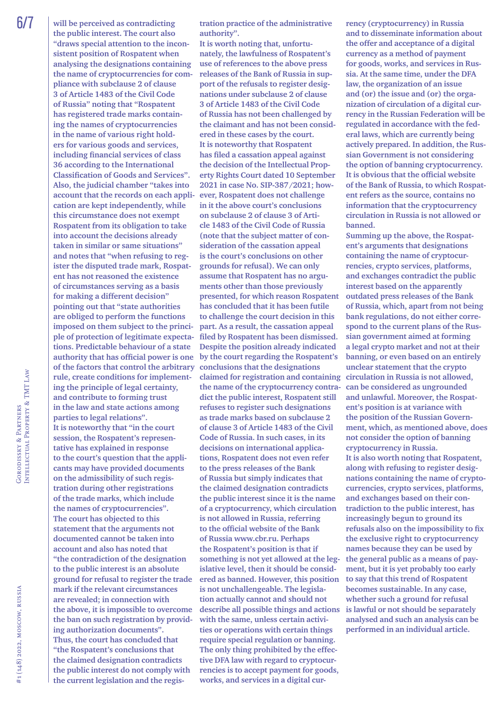6/7 **will be perceived as contradicting the public interest. The court also "draws special attention to the inconsistent position of Rospatent when analysing the designations containing the name of cryptocurrencies for compliance with subclause 2 of clause 3 of Article 1483 of the Civil Code of Russia" noting that "Rospatent has registered trade marks containing the names of cryptocurrencies in the name of various right holders for various goods and services, including financial services of class 36 according to the International Classification of Goods and Services". Also, the judicial chamber "takes into account that the records on each application are kept independently, while this circumstance does not exempt Rospatent from its obligation to take into account the decisions already taken in similar or same situations" and notes that "when refusing to register the disputed trade mark, Rospatent has not reasoned the existence of circumstances serving as a basis for making a different decision" pointing out that "state authorities are obliged to perform the functions imposed on them subject to the principle of protection of legitimate expectations. Predictable behaviour of a state authority that has official power is one of the factors that control the arbitrary rule, create conditions for implementing the principle of legal certainty, and contribute to forming trust in the law and state actions among parties to legal relations". It is noteworthy that "in the court session, the Rospatent's representative has explained in response to the court's question that the applicants may have provided documents on the admissibility of such registration during other registrations of the trade marks, which include the names of cryptocurrencies". The court has objected to this statement that the arguments not documented cannot be taken into account and also has noted that "the contradiction of the designation to the public interest is an absolute ground for refusal to register the trade mark if the relevant circumstances are revealed; in connection with the above, it is impossible to overcome the ban on such registration by providing authorization documents". Thus, the court has concluded that "the Rospatent's conclusions that the claimed designation contradicts the public interest do not comply with** 

**the current legislation and the regis-**

**tration practice of the administrative authority".**

**It is worth noting that, unfortunately, the lawfulness of Rospatent's use of references to the above press releases of the Bank of Russia in support of the refusals to register designations under subclause 2 of clause 3 of Article 1483 of the Civil Code of Russia has not been challenged by the claimant and has not been considered in these cases by the court. It is noteworthy that Rospatent has filed a cassation appeal against the decision of the Intellectual Property Rights Court dated 10 September 2021 in case No. SIP-387/2021; however, Rospatent does not challenge in it the above court's conclusions on subclause 2 of clause 3 of Article 1483 of the Civil Code of Russia (note that the subject matter of consideration of the cassation appeal is the court's conclusions on other grounds for refusal). We can only assume that Rospatent has no arguments other than those previously presented, for which reason Rospatent has concluded that it has been futile to challenge the court decision in this part. As a result, the cassation appeal filed by Rospatent has been dismissed. Despite the position already indicated by the court regarding the Rospatent's conclusions that the designations claimed for registration and containing the name of the cryptocurrency contradict the public interest, Rospatent still refuses to register such designations as trade marks based on subclause 2 of clause 3 of Article 1483 of the Civil Code of Russia. In such cases, in its decisions on international applications, Rospatent does not even refer to the press releases of the Bank of Russia but simply indicates that the claimed designation contradicts the public interest since it is the name of a cryptocurrency, which circulation is not allowed in Russia, referring to the official website of the Bank of Russia [www.cbr.ru](http://www.cbr.ru). Perhaps the Rospatent's position is that if something is not yet allowed at the legislative level, then it should be considered as banned. However, this position is not unchallengeable. The legislation actually cannot and should not describe all possible things and actions with the same, unless certain activities or operations with certain things require special regulation or banning. The only thing prohibited by the effective DFA law with regard to cryptocurrencies is to accept payment for goods, works, and services in a digital cur-**

**rency (cryptocurrency) in Russia and to disseminate information about the offer and acceptance of a digital currency as a method of payment for goods, works, and services in Russia. At the same time, under the DFA law, the organization of an issue and (or) the issue and (or) the organization of circulation of a digital currency in the Russian Federation will be regulated in accordance with the federal laws, which are currently being actively prepared. In addition, the Russian Government is not considering the option of banning cryptocurrency. It is obvious that the official website of the Bank of Russia, to which Rospatent refers as the source, contains no information that the cryptocurrency circulation in Russia is not allowed or banned.**

**Summing up the above, the Rospatent's arguments that designations containing the name of cryptocurrencies, crypto services, platforms, and exchanges contradict the public interest based on the apparently outdated press releases of the Bank of Russia, which, apart from not being bank regulations, do not either correspond to the current plans of the Russian government aimed at forming a legal crypto market and not at their banning, or even based on an entirely unclear statement that the crypto circulation in Russia is not allowed, can be considered as ungrounded and unlawful. Moreover, the Rospatent's position is at variance with the position of the Russian Government, which, as mentioned above, does not consider the option of banning cryptocurrency in Russia. It is also worth noting that Rospatent, along with refusing to register designations containing the name of cryptocurrencies, crypto services, platforms, and exchanges based on their contradiction to the public interest, has increasingly begun to ground its refusals also on the impossibility to fix the exclusive right to cryptocurrency names because they can be used by the general public as a means of payment, but it is yet probably too early to say that this trend of Rospatent becomes sustainable. In any case, whether such a ground for refusal is lawful or not should be separately analysed and such an analysis can be performed in an individual article.**

Intellectual Property & TMT Law

GORODISSKY & PARTNERS<br>INTELLECTUAL PROPERTY & TMT LAW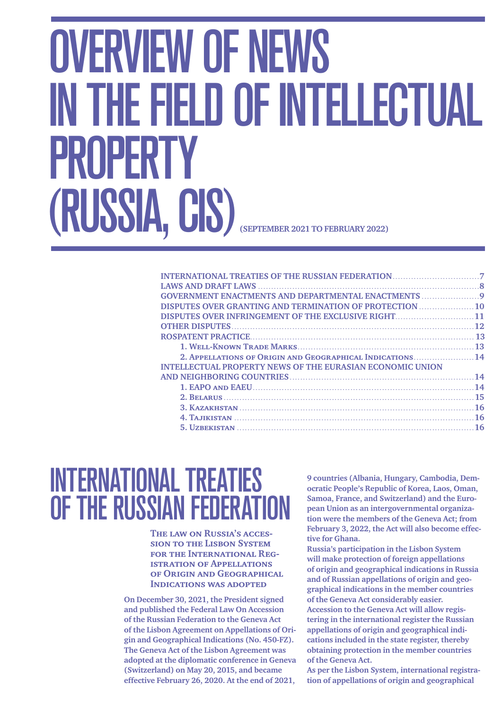# <span id="page-6-0"></span>OVERVIEW OF NEWS IN THE FIELD OF INTELLECTUAL PROPERTY (RUSSIA, CIS) **(SEPTEMBER 2021 TO FEBRUARY 2022)**

| <b>GOVERNMENT ENACTMENTS AND DEPARTMENTAL ENACTMENTS </b>        |  |
|------------------------------------------------------------------|--|
| <b>DISPUTES OVER GRANTING AND TERMINATION OF PROTECTION  10</b>  |  |
| DISPUTES OVER INFRINGEMENT OF THE EXCLUSIVE RIGHT11              |  |
|                                                                  |  |
|                                                                  |  |
|                                                                  |  |
| 2. APPELLATIONS OF ORIGIN AND GEOGRAPHICAL INDICATIONS 14        |  |
| <b>INTELLECTUAL PROPERTY NEWS OF THE EURASIAN ECONOMIC UNION</b> |  |
|                                                                  |  |
|                                                                  |  |
|                                                                  |  |
|                                                                  |  |
|                                                                  |  |
|                                                                  |  |

# <span id="page-6-1"></span>INTERNATIONAL TREATIES OF THE RUSSIAN FEDERATION

**The law on Russia's accession to the Lisbon System for the International Registration of Appellations of Origin and Geographical Indications was adopted**

**On December 30, 2021, the President signed and published the Federal Law On Accession of the Russian Federation to the Geneva Act of the Lisbon Agreement on [Appellations of](http://publication.pravo.gov.ru/Document/View/0001202112300142) Origin and [Geographical Indications \(No. 450-FZ\).](http://publication.pravo.gov.ru/Document/View/0001202112300142) The Geneva Act of the Lisbon Agreement was adopted at the diplomatic conference in Geneva (Switzerland) on May 20, 2015, and became effective February 26, 2020. At the end of 2021,** 

**9 countries (Albania, Hungary, Cambodia, Democratic People's Republic of Korea, Laos, Oman, Samoa, France, and Switzerland) and the European Union as an intergovernmental organization were the members of the Geneva Act; from February 3, 2022, the Act will also become effective for Ghana.**

**Russia's participation in the Lisbon System will make protection of foreign appellations of origin and geographical indications in Russia and of Russian appellations of origin and geographical indications in the member countries of the Geneva Act considerably easier. Accession to the Geneva Act will allow registering in the international register the Russian appellations of origin and geographical indications included in the state register, thereby obtaining protection in the member countries of the Geneva Act.**

**As per the Lisbon System, international registration of appellations of origin and geographical**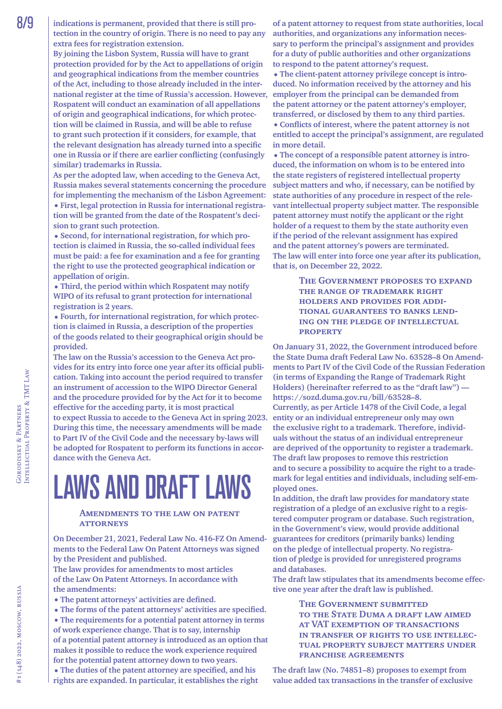**By joining the Lisbon System, Russia will have to grant protection provided for by the Act to appellations of origin and geographical indications from the member countries of the Act, including to those already included in the international register at the time of Russia's accession. However, Rospatent will conduct an examination of all appellations of origin and geographical indications, for which protection will be claimed in Russia, and will be able to refuse to grant such protection if it considers, for example, that the relevant designation has already turned into a specific one in Russia or if there are earlier conflicting (confusingly similar) trademarks in Russia.**

**As per the adopted law, when acceding to the Geneva Act, Russia makes several statements concerning the procedure for implementing the mechanism of the Lisbon Agreement: •First, legal protection in Russia for international registration will be granted from the date of the Rospatent's decision to grant such protection.**

**•Second, for international registration, for which protection is claimed in Russia, the so-called individual fees must be paid: a fee for examination and a fee for granting the right to use the protected geographical indication or appellation of origin.**

**•Third, the period within which Rospatent may notify WIPO of its refusal to grant protection for international registration is 2 years.**

**•Fourth, for international registration, for which protection is claimed in Russia, a description of the properties of the goods related to their geographical origin should be provided.**

**The law on the Russia's accession to the Geneva Act provides for its entry into force one year after its official publication. Taking into account the period required to transfer an instrument of accession to the WIPO Director General and the procedure provided for by the Act for it to become effective for the acceding party, it is most practical to expect Russia to accede to the Geneva Act in spring 2023. During this time, the necessary amendments will be made to Part IV of the Civil Code and the necessary by-laws will be adopted for Rospatent to perform its functions in accordance with the Geneva Act.**

# <span id="page-7-0"></span>LAWS AND DRAFT LAWS

#### **Amendments to the law on patent attorneys**

**On December 21, 2021, Federal Law No. 416-FZ On Amendments to the Federal Law On Patent Attorneys was signed by the President and published.**

**The law provides for amendments to most articles of the Law On Patent Attorneys. In accordance with the amendments:**

**•The patent attorneys' activities are defined.**

**•The forms of the patent attorneys' activities are specified. •The requirements for a potential patent attorney in terms of work experience change. That is to say, internship of a potential patent attorney is introduced as an option that makes it possible to reduce the work experience required for the potential patent attorney down to two years.**

**•The duties of the patent attorney are specified, and his rights are expanded. In particular, it establishes the right**  **of a patent attorney to request from state authorities, local authorities, and organizations any information necessary to perform the principal's assignment and provides for a duty of public authorities and other organizations to respond to the patent attorney's request.**

**•The client-patent attorney privilege concept is introduced. No information received by the attorney and his employer from the principal can be demanded from the patent attorney or the patent attorney's employer, transferred, or disclosed by them to any third parties.**

**•Conflicts of interest, where the patent attorney is not entitled to accept the principal's assignment, are regulated in more detail.**

**•The concept of a responsible patent attorney is introduced, the information on whom is to be entered into the state registers of registered intellectual property subject matters and who, if necessary, can be notified by state authorities of any procedure in respect of the relevant intellectual property subject matter. The responsible patent attorney must notify the applicant or the right holder of a request to them by the state authority even if the period of the relevant assignment has expired and the patent attorney's powers are terminated. The law will enter into force one year after its publication, that is, on December 22, 2022.**

> **The Government proposes to expand the range of trademark right holders and provides for additional guarantees to banks lending on the pledge of intellectual property**

**On January 31, 2022, the Government introduced before the State Duma draft Federal Law No. 63528–8 On Amendments to Part IV of the Civil Code of the Russian Federation (in terms of Expanding the Range of Trademark Right Holders) (hereinafter referred to as the "draft law") [https://sozd.duma.gov.ru/bill/63528–8.](https://sozd.duma.gov.ru/bill/63528-8) Currently, as per Article 1478 of the Civil Code, a legal entity or an individual entrepreneur only may own the exclusive right to a trademark. Therefore, individuals without the status of an individual entrepreneur are deprived of the opportunity to register a trademark. The draft law proposes to remove this restriction and to secure a possibility to acquire the right to a trademark for legal entities and individuals, including self-employed ones.**

**In addition, the draft law provides for mandatory state registration of a pledge of an exclusive right to a registered computer program or database. Such registration, in the Government's view, would provide additional guarantees for creditors (primarily banks) lending on the pledge of intellectual property. No registration of pledge is provided for unregistered programs and databases.**

**The draft law stipulates that its amendments become effective one year after the draft law is published.**

#### **The Government submitted to the State Duma a draft law aimed at VAT exemption of transactions in transfer of rights to use intellectual property subject matters under franchise agreements**

**The [draft law \(No. 74851–8\)](https://sozd.duma.gov.ru/bill/74851-8) proposes to exempt from value added tax transactions in the transfer of exclusive**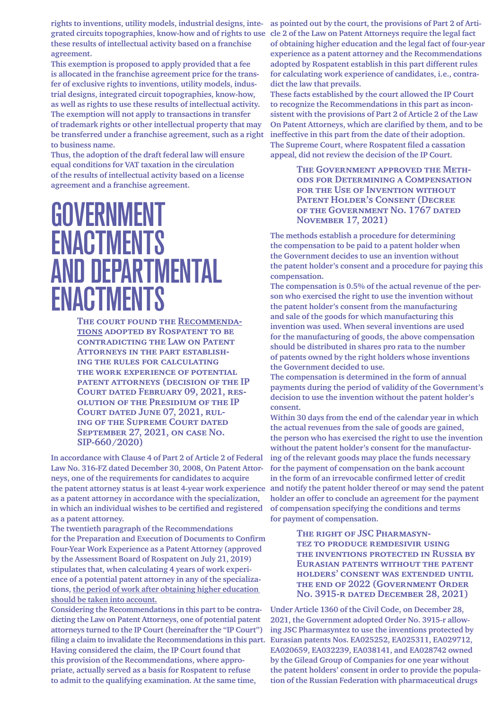**rights to inventions, utility models, industrial designs, integrated circuits topographies, know-how and of rights to use these results of intellectual activity based on a franchise agreement.**

**This exemption is proposed to apply provided that a fee is allocated in the franchise agreement price for the transfer of exclusive rights to inventions, utility models, industrial designs, integrated circuit topographies, know-how, as well as rights to use these results of intellectual activity. The exemption will not apply to transactions in transfer of trademark rights or other intellectual property that may be transferred under a franchise agreement, such as a right to business name.**

**Thus, the adoption of the draft federal law will ensure equal conditions for VAT taxation in the circulation of the results of intellectual activity based on a license agreement and a franchise agreement.**

# <span id="page-8-0"></span>GOVERNMENT **ENACTMENTS AND DEPARTMENTAL ENACTMENTS**

**The court found the Recommendations adopted by Rospatent to be contradicting the Law on Patent Attorneys in the part establishing the rules for calculating the work experience of potential patent attorneys (decision of the IP**  COURT DATED FEBRUARY 09, 2021, RES**olution of the Presidium of the IP Court dated June 07, 2021, ruling of the Supreme Court dated September 27, 2021, on case No. SIP-660/2020)**

**In accordance with Clause 4 of Part 2 of Article 2 of Federal Law No. 316-FZ dated December 30, 2008, On Patent Attorneys, one of the requirements for candidates to acquire the patent attorney status is at least 4-year work experience as a patent attorney in accordance with the specialization, in which an individual wishes to be certified and registered as a patent attorney.**

**The twentieth paragraph of the Recommendations for the Preparation and Execution of Documents to Confirm Four-Year Work Experience as a Patent Attorney (approved by the Assessment Board of Rospatent on July 21, 2019) stipulates that, when calculating 4 years of work experience of a potential patent attorney in any of the specializations, the period of work after obtaining higher education should be taken into account.**

**Considering the Recommendations in this part to be contradicting the Law on Patent Attorneys, one of potential patent attorneys turned to the IP Court (hereinafter the "IP Court") filing a claim to invalidate the Recommendations in this part. Eurasian patents Nos. EA025252, EA025311, EA029712, Having considered the claim, the IP Court found that this provision of the Recommendations, where appropriate, actually served as a basis for Rospatent to refuse to admit to the qualifying examination. At the same time,** 

**as pointed out by the court, the provisions of Part 2 of Article 2 of the Law on Patent Attorneys require the legal fact of obtaining higher education and the legal fact of four-year experience as a patent attorney and the Recommendations adopted by Rospatent establish in this part different rules for calculating work experience of candidates, i.e., contradict the law that prevails.**

**These facts established by the court allowed the IP Court to recognize the Recommendations in this part as inconsistent with the provisions of Part 2 of Article 2 of the Law On Patent Attorneys, which are clarified by them, and to be ineffective in this part from the date of their adoption. The Supreme Court, where Rospatent filed a cassation appeal, did not review the decision of the IP Court.**

> **The Government approved the Methods for Determining a Compensation for the Use of Invention without Patent Holder's Consent [\(Decree](http://publication.pravo.gov.ru/Document/View/0001202110200040)  OF THE GOVERNMENT NO. 1767 DATED [November 17, 2021\)](http://publication.pravo.gov.ru/Document/View/0001202110200040)**

**The methods establish a procedure for determining the compensation to be paid to a patent holder when the Government decides to use an invention without the patent holder's consent and a procedure for paying this compensation.**

**The compensation is 0.5% of the actual revenue of the person who exercised the right to use the invention without the patent holder's consent from the manufacturing and sale of the goods for which manufacturing this invention was used. When several inventions are used for the manufacturing of goods, the above compensation should be distributed in shares pro rata to the number of patents owned by the right holders whose inventions the Government decided to use.**

**The compensation is determined in the form of annual payments during the period of validity of the Government's decision to use the invention without the patent holder's consent.**

**Within 30 days from the end of the calendar year in which the actual revenues from the sale of goods are gained, the person who has exercised the right to use the invention without the patent holder's consent for the manufacturing of the relevant goods may place the funds necessary for the payment of compensation on the bank account in the form of an irrevocable confirmed letter of credit and notify the patent holder thereof or may send the patent holder an offer to conclude an agreement for the payment of compensation specifying the conditions and terms for payment of compensation.**

> **The right of JSC Pharmasyntez to produce remdesivir using the inventions protected in Russia by Eurasian patents without the patent holders' consent was extended until the end of 2022 [\(Government Order](http://publication.pravo.gov.ru/Document/View/0001202112300035)  [No. 3915-r dated December 28, 2021\)](http://publication.pravo.gov.ru/Document/View/0001202112300035)**

**Under Article 1360 of the Civil Code, on December 28, 2021, the Government adopted Order No. 3915-r allowing JSC Pharmasyntez to use the inventions protected by EA020659, EA032239, EA038141, and EA028742 owned by the Gilead Group of Companies for one year without the patent holders' consent in order to provide the population of the Russian Federation with pharmaceutical drugs**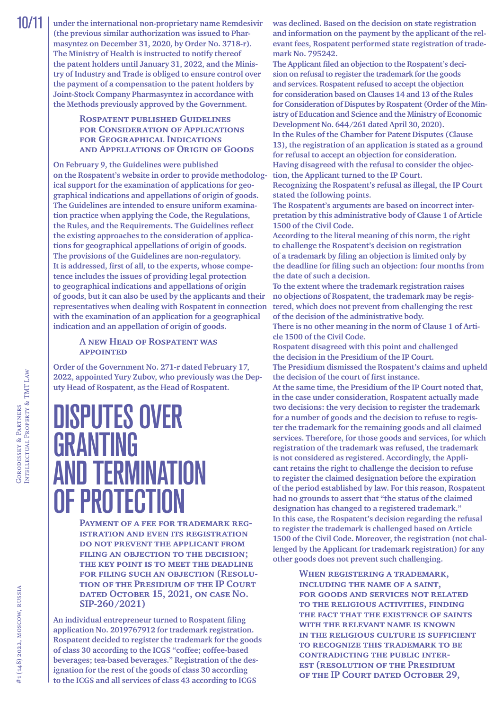10/11 **under the international non-proprietary name Remdesivir (the [previous similar authorization was issued to](http://publication.pravo.gov.ru/Document/View/0001202101050003) Pharmasyntez on [December 31, 2020, by Order No. 3718-r\).](http://publication.pravo.gov.ru/Document/View/0001202101050003) The Ministry of Health is instructed to notify thereof the patent holders until January 31, 2022, and the Ministry of Industry and Trade is obliged to ensure control over the payment of a compensation to the patent holders by Joint-Stock Company Pharmasyntez in accordance with the Methods previously approved by the Government.**

#### **[Rospatent published Guidelines](https://rospatent.gov.ru/ru/documents/ruc-reg-gu-nmpt/download)  for Consideration of Applications for [Geographical Indications](https://rospatent.gov.ru/ru/documents/ruc-reg-gu-nmpt/download)  and [Appellations of](https://rospatent.gov.ru/ru/documents/ruc-reg-gu-nmpt/download) Origin of Goods**

**On February 9, the [Guidelines were published](https://rospatent.gov.ru/ru/news/09-02-2022-opublikovano-rukovodstvo-po-gosudarstvennoy-registracii-gu-nmpt-i-ili-predostavleniyu-isklyuchitelnogo-prava-na-gu-nmpt-i-vydache-svidetelstv-na-gu-nmpt-ih-dublikatov)  on the [Rospatent's website](https://rospatent.gov.ru/ru/news/09-02-2022-opublikovano-rukovodstvo-po-gosudarstvennoy-registracii-gu-nmpt-i-ili-predostavleniyu-isklyuchitelnogo-prava-na-gu-nmpt-i-vydache-svidetelstv-na-gu-nmpt-ih-dublikatov) in order to provide methodological support for the examination of applications for geographical indications and appellations of origin of goods. The Guidelines are intended to ensure uniform examination practice when applying the Code, the Regulations, the Rules, and the Requirements. The Guidelines reflect the existing approaches to the consideration of applications for geographical appellations of origin of goods. The provisions of the Guidelines are non-regulatory. It is addressed, first of all, to the experts, whose competence includes the issues of providing legal protection to geographical indications and appellations of origin of goods, but it can also be used by the applicants and their representatives when dealing with Rospatent in connection with the examination of an application for a geographical indication and an appellation of origin of goods.**

#### **A new Head of [Rospatent was](https://rospatent.gov.ru/ru/news/rukovoditelem-rospatenta-naznachen-yuriy-zubov-18022022)  [appointed](https://rospatent.gov.ru/ru/news/rukovoditelem-rospatenta-naznachen-yuriy-zubov-18022022)**

**Order of the Government No. 271-r dated February 17, 2022, appointed Yury Zubov, who previously was the Deputy Head of Rospatent, as the Head of Rospatent.**

# <span id="page-9-0"></span>DISPUTES OVER GRANTING **AND TERMINATION** OF PROTECTION

**Payment of a fee for trademark registration and even its registration do not prevent the applicant from filing an objection to the decision; the key point is to meet the deadline for filing such an objection [\(Resolu](https://kad.arbitr.ru/Document/Pdf/e59bfeb5-32d5-4bf9-9140-e377120a083e/09f879ae-71aa-4714-89c2-ea329676e2eb/SIP-260-2021_20211015_Reshenija_i_postanovlenija.pdf?isAddStamp=True)tion of the Presidium of the IP Court [dated October 15, 2021, on](https://kad.arbitr.ru/Document/Pdf/e59bfeb5-32d5-4bf9-9140-e377120a083e/09f879ae-71aa-4714-89c2-ea329676e2eb/SIP-260-2021_20211015_Reshenija_i_postanovlenija.pdf?isAddStamp=True) case No. [SIP-260/2021\)](https://kad.arbitr.ru/Document/Pdf/e59bfeb5-32d5-4bf9-9140-e377120a083e/09f879ae-71aa-4714-89c2-ea329676e2eb/SIP-260-2021_20211015_Reshenija_i_postanovlenija.pdf?isAddStamp=True)**

**An individual entrepreneur turned to Rospatent filing application No. 2019767912 for trademark registration. Rospatent decided to register the trademark for the goods of class 30 according to the ICGS "coffee; coffee-based beverages; tea-based beverages." Registration of the designation for the rest of the goods of class 30 according to the ICGS and all services of class 43 according to ICGS** 

**was declined. Based on the decision on state registration and information on the payment by the applicant of the relevant fees, Rospatent performed state registration of trademark No. 795242.**

**The Applicant filed an objection to the Rospatent's decision on refusal to register the trademark for the goods and services. Rospatent refused to accept the objection for consideration based on Clauses 14 and 13 of the Rules for Consideration of Disputes by Rospatent (Order of the Ministry of Education and Science and the Ministry of Economic Development No. 644/261 dated April 30, 2020).**

**In the Rules of the Chamber for Patent Disputes (Clause 13), the registration of an application is stated as a ground for refusal to accept an objection for consideration. Having disagreed with the refusal to consider the objection, the Applicant turned to the IP Court.**

**Recognizing the Rospatent's refusal as illegal, the IP Court stated the following points.**

**The Rospatent's arguments are based on incorrect interpretation by this administrative body of Clause 1 of Article 1500 of the Civil Code.**

**According to the literal meaning of this norm, the right to challenge the Rospatent's decision on registration of a trademark by filing an objection is limited only by the deadline for filing such an objection: four months from the date of such a decision.**

**To the extent where the trademark registration raises no objections of Rospatent, the trademark may be registered, which does not prevent from challenging the rest of the decision of the administrative body.**

**There is no other meaning in the norm of Clause 1 of Article 1500 of the Civil Code.**

**Rospatent disagreed with this point and challenged the decision in the Presidium of the IP Court. The Presidium dismissed the Rospatent's claims and upheld** 

**the decision of the court of first instance. At the same time, the Presidium of the IP Court noted that, in the case under consideration, Rospatent actually made** 

**two decisions: the very decision to register the trademark for a number of goods and the decision to refuse to register the trademark for the remaining goods and all claimed services. Therefore, for those goods and services, for which registration of the trademark was refused, the trademark is not considered as registered. Accordingly, the Applicant retains the right to challenge the decision to refuse to register the claimed designation before the expiration of the period established by law. For this reason, Rospatent had no grounds to assert that "the status of the claimed designation has changed to a registered trademark." In this case, the Rospatent's decision regarding the refusal to register the trademark is challenged based on Article 1500 of the Civil Code. Moreover, the registration (not challenged by the Applicant for trademark registration) for any other goods does not prevent such challenging.**

> **When registering a trademark, including the name of a saint, for goods and services not related to the religious activities, finding the fact that the existence of saints with the relevant name is known in the religious culture is sufficient to recognize this trademark to be contradicting the public interest (resolution of the Presidium of the [IP Court dated October 29,](https://kad.arbitr.ru/Document/Pdf/41c32d42-e3f2-40f2-a786-6fb2b261a441/5923cca3-a25e-4d24-acf0-cd99192590ff/SIP-181-2021_20211029_Reshenija_i_postanovlenija.pdf?isAddStamp=True)**

Intellectual Property & TMT Law

GORODISSKY & PARTNERS<br>INTELLECTUAL PROPERTY & TMT LAW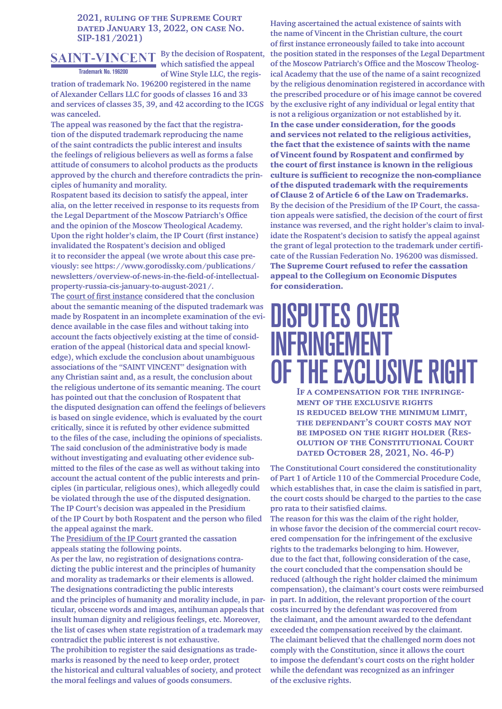#### **2021, ruling of the Supreme Court [dated January 13, 2022, on](https://kad.arbitr.ru/Document/Pdf/41c32d42-e3f2-40f2-a786-6fb2b261a441/5923cca3-a25e-4d24-acf0-cd99192590ff/SIP-181-2021_20211029_Reshenija_i_postanovlenija.pdf?isAddStamp=True) case [No.](https://kad.arbitr.ru/Card/41c32d42-e3f2-40f2-a786-6fb2b261a441)  [SIP-181/2021\)](https://kad.arbitr.ru/Card/41c32d42-e3f2-40f2-a786-6fb2b261a441)**

### **Trademark No. 196200**

**By the decision of Rospatent, which satisfied the appeal of Wine Style LLC, the regis-**

**tration of trademark No. 196200 registered in the name of Alexander Cellars LLC for goods of classes 16 and 33 and services of classes 35, 39, and 42 according to the ICGS was canceled.**

**The appeal was reasoned by the fact that the registration of the disputed trademark reproducing the name of the saint contradicts the public interest and insults the feelings of religious believers as well as forms a false attitude of consumers to alcohol products as the products approved by the church and therefore contradicts the principles of humanity and morality.**

**Rospatent based its decision to satisfy the appeal, inter alia, on the letter received in response to its requests from the Legal Department of the Moscow Patriarch's Office and the opinion of the Moscow Theological Academy. Upon the right holder's claim, the IP Court (first instance) invalidated the Rospatent's decision and obliged it to reconsider the appeal (we wrote about this case previously: see [https://www.gorodissky.com/publications/](https://www.gorodissky.com/publications/newsletters/overview-of-news-in-the-field-of-intellectual-property-russia-cis-january-to-august-2021/) [newsletters/overview-of-news-in-the-field-of-intellectual](https://www.gorodissky.com/publications/newsletters/overview-of-news-in-the-field-of-intellectual-property-russia-cis-january-to-august-2021/)[property-russia-cis-january-to-august-2021/.](https://www.gorodissky.com/publications/newsletters/overview-of-news-in-the-field-of-intellectual-property-russia-cis-january-to-august-2021/)**

**The court of first instance considered that the conclusion about the semantic meaning of the disputed trademark was made by Rospatent in an incomplete examination of the evidence available in the case files and without taking into account the facts objectively existing at the time of consideration of the appeal (historical data and special knowledge), which exclude the conclusion about unambiguous associations of the "SAINT VINCENT" designation with any Christian saint and, as a result, the conclusion about the religious undertone of its semantic meaning. The court has pointed out that the conclusion of Rospatent that the disputed designation can offend the feelings of believers is based on single evidence, which is evaluated by the court critically, since it is refuted by other evidence submitted to the files of the case, including the opinions of specialists. The said conclusion of the administrative body is made without investigating and evaluating other evidence submitted to the files of the case as well as without taking into account the actual content of the public interests and principles (in particular, religious ones), which allegedly could be violated through the use of the disputed designation. The IP Court's decision was appealed in the Presidium of the IP Court by both Rospatent and the person who filed the appeal against the mark.**

**The Presidium of the IP Court granted the cassation appeals stating the following points.**

**As per the law, no registration of designations contradicting the public interest and the principles of humanity and morality as trademarks or their elements is allowed. The designations contradicting the public interests and the principles of humanity and morality include, in particular, obscene words and images, antihuman appeals that insult human dignity and religious feelings, etc. Moreover, the list of cases when state registration of a trademark may contradict the public interest is not exhaustive. The prohibition to register the said designations as trademarks is reasoned by the need to keep order, protect the historical and cultural valuables of society, and protect the moral feelings and values of goods consumers.**

**Having ascertained the actual existence of saints with the name of Vincent in the Christian culture, the court of first instance erroneously failed to take into account the position stated in the responses of the Legal Department of the Moscow Patriarch's Office and the Moscow Theological Academy that the use of the name of a saint recognized by the religious denomination registered in accordance with the prescribed procedure or of his image cannot be covered by the exclusive right of any individual or legal entity that is not a religious organization or not established by it.** In the case under consideration, for the goods and services not related to the religious activities, the fact that the existence of saints with the name of Vincent found by Rospatent and confirmed by the court of first instance is known in the religious culture is sufficient to recognize the non-compliance of the disputed trademark with the requirements of Clause 2 of Article 6 of the Law on Trademarks. **By the decision of the Presidium of the IP Court, the cassation appeals were satisfied, the decision of the court of first instance was reversed, and the right holder's claim to invalidate the Rospatent's decision to satisfy the appeal against the grant of legal protection to the trademark under certificate of the Russian Federation No. 196200 was dismissed.** The Supreme Court refused to refer the cassation appeal to the Collegium on Economic Disputes for consideration.

# <span id="page-10-0"></span>DISPUTES OVER INFRINGEMENT OF THE EXCLUSIVE RIGHT

**If a compensation for the infringement of the exclusive rights is reduced below the minimum limit, the defendant's court costs may not be imposed on the right holder ([Res](http://doc.ksrf.ru/decision/KSRFDecision563395.pdf)olution of the Constitutional Court [dated October 28, 2021, No. 46-P\)](http://doc.ksrf.ru/decision/KSRFDecision563395.pdf)**

**The Constitutional Court considered the constitutionality of Part 1 of Article 110 of the Commercial Procedure Code, which establishes that, in case the claim is satisfied in part, the court costs should be charged to the parties to the case pro rata to their satisfied claims.**

**The reason for this was the claim of the right holder, in whose favor the decision of the commercial court recovered compensation for the infringement of the exclusive rights to the trademarks belonging to him. However, due to the fact that, following consideration of the case, the court concluded that the compensation should be reduced (although the right holder claimed the minimum compensation), the claimant's court costs were reimbursed in part. In addition, the relevant proportion of the court costs incurred by the defendant was recovered from the claimant, and the amount awarded to the defendant exceeded the compensation received by the claimant. The claimant believed that the challenged norm does not comply with the Constitution, since it allows the court to impose the defendant's court costs on the right holder while the defendant was recognized as an infringer of the exclusive rights.**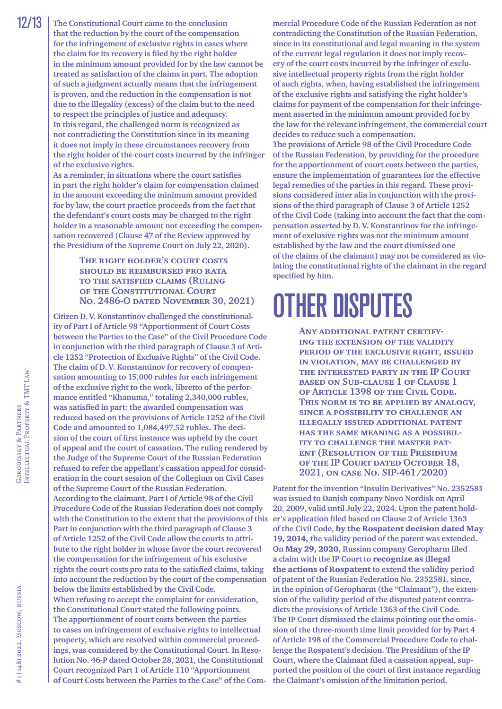**The Constitutional Court came to the conclusion that the reduction by the court of the compensation for the infringement of exclusive rights in cases where the claim for its recovery is filed by the right holder in the minimum amount provided for by the law cannot be treated as satisfaction of the claims in part. The adoption of such a judgment actually means that the infringement is proven, and the reduction in the compensation is not due to the illegality (excess) of the claim but to the need to respect the principles of justice and adequacy. In this regard, the challenged norm is recognized as not contradicting the Constitution since in its meaning it does not imply in these circumstances recovery from the right holder of the court costs incurred by the infringer of the exclusive rights.**

**As a reminder, in situations where the court satisfies in part the right holder's claim for compensation claimed in the amount exceeding the minimum amount provided for by law, the court practice proceeds from the fact that the defendant's court costs may be charged to the right holder in a reasonable amount not exceeding the compensation recovered (Clause 47 of the [Review approved by](http://ivo.garant.ru/#/document/74417922/entry/47)  the Presidium of the [Supreme Court on](http://ivo.garant.ru/#/document/74417922/entry/47) July 22, 2020).**

#### **The right holder's court costs should be reimbursed pro rata to the satisfied claims [\(Ruling](http://doc.ksrf.ru/decision/KSRFDecision573993.pdf)  of the [Constitutional Court](http://doc.ksrf.ru/decision/KSRFDecision573993.pdf)  No. [2486-O dated November 30, 2021\)](http://doc.ksrf.ru/decision/KSRFDecision573993.pdf)**

**Citizen D.V. Konstantinov challenged the constitutionality of Part I of Article 98 "Apportionment of Court Costs between the Parties to the Case" of the Civil Procedure Code in conjunction with the third paragraph of Clause 3 of Article 1252 "Protection of Exclusive Rights" of the Civil Code. The claim of D.V. Konstantinov for recovery of compensation amounting to 15,000 rubles for each infringement of the exclusive right to the work, libretto of the performance entitled "Khanuma," totaling 2,340,000 rubles, was satisfied in part: the awarded compensation was reduced based on the provisions of Article 1252 of the Civil Code and amounted to 1,084,497.52 rubles. The decision of the court of first instance was upheld by the court of appeal and the court of cassation. The ruling rendered by the Judge of the Supreme Court of the Russian Federation refused to refer the appellant's cassation appeal for consideration in the court session of the Collegium on Civil Cases of the Supreme Court of the Russian Federation. According to the claimant, Part I of Article 98 of the Civil Procedure Code of the Russian Federation does not comply with the Constitution to the extent that the provisions of this Part in conjunction with the third paragraph of Clause 3 of Article 1252 of the Civil Code allow the courts to attribute to the right holder in whose favor the court recovered the compensation for the infringement of his exclusive rights the court costs pro rata to the satisfied claims, taking into account the reduction by the court of the compensation below the limits established by the Civil Code. When refusing to accept the complaint for consideration, the Constitutional Court stated the following points. The apportionment of court costs between the parties to cases on infringement of exclusive rights to intellectual property, which are resolved within commercial proceedings, was considered by the Constitutional Court. In Resolution No. 46-P dated October 28, 2021, the Constitutional Court recognized Part 1 of Article 110 "Apportionment of Court Costs between the Parties to the Case" of the Com-**

**mercial Procedure Code of the Russian Federation as not contradicting the Constitution of the Russian Federation, since in its constitutional and legal meaning in the system of the current legal regulation it does not imply recovery of the court costs incurred by the infringer of exclusive intellectual property rights from the right holder of such rights, when, having established the infringement of the exclusive rights and satisfying the right holder's claims for payment of the compensation for their infringement asserted in the minimum amount provided for by the law for the relevant infringement, the commercial court decides to reduce such a compensation.**

**The provisions of Article 98 of the Civil Procedure Code of the Russian Federation, by providing for the procedure for the apportionment of court costs between the parties, ensure the implementation of guarantees for the effective legal remedies of the parties in this regard. These provisions considered inter alia in conjunction with the provisions of the third paragraph of Clause 3 of Article 1252 of the Civil Code (taking into account the fact that the compensation asserted by D.V. Konstantinov for the infringement of exclusive rights was not the minimum amount established by the law and the court dismissed one of the claims of the claimant) may not be considered as violating the constitutional rights of the claimant in the regard specified by him.**

# <span id="page-11-0"></span>OTHER DISPUTES

**Any additional patent certifying the extension of the validity period of the exclusive right, issued in violation, may be challenged by the interested party in the IP Court based on Sub-clause 1 of Clause 1 of Article 1398 of the Civil Code. This norm is to be applied by analogy, since a possibility to challenge an illegally issued additional patent has the same meaning as a possibility to challenge the master patent (Resolution of the Presidium of the [IP Court dated October 18,](https://kad.arbitr.ru/Document/Pdf/9c2dfec1-5bd5-42e7-8c04-0a97feec43a8/09a2951b-6831-4961-a57c-cfaafb94091d/SIP-461-2020_20211018_Reshenija_i_postanovlenija.pdf?isAddStamp=True)  2021, on [case No. SIP-461/2020\)](https://kad.arbitr.ru/Document/Pdf/9c2dfec1-5bd5-42e7-8c04-0a97feec43a8/09a2951b-6831-4961-a57c-cfaafb94091d/SIP-461-2020_20211018_Reshenija_i_postanovlenija.pdf?isAddStamp=True)**

**Patent for the invention "Insulin Derivatives" No. 2352581 was issued to Danish company Novo Nordisk on April 20, 2009, valid until July 22, 2024. Upon the patent holder's application filed based on Clause 2 of Article 1363 of the Civil Code,** by the Rospatent decision dated May 19, 2014, **the validity period of the patent was extended. On** May 29, 2020, **Russian company Geropharm filed a claim with the IP Court to** recognize as illegal the actions of Rospatent **to extend the validity period of patent of the Russian Federation No. 2352581, since, in the opinion of Geropharm (the "Claimant"), the extension of the validity period of the disputed patent contradicts the provisions of Article 1363 of the Civil Code. The IP Court dismissed the claims pointing out the omission of the three-month time limit provided for by Part 4 of Article 198 of the Commercial Procedure Code to challenge the Rospatent's decision. The Presidium of the IP Court, where the Claimant filed a cassation appeal, supported the position of the court of first instance regarding the Claimant's omission of the limitation period.**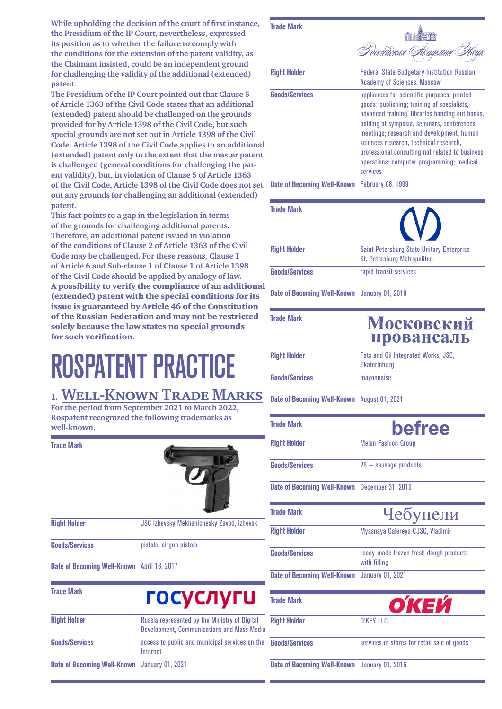**While upholding the decision of the court of first instance, the Presidium of the IP Court, nevertheless, expressed its position as to whether the failure to comply with the conditions for the extension of the patent validity, as the Claimant insisted, could be an independent ground for challenging the validity of the additional (extended) patent.**

**The Presidium of the IP Court pointed out that Clause 5 of Article 1363 of the Civil Code states that an additional (extended) patent should be challenged on the grounds provided for by Article 1398 of the Civil Code, but such special grounds are not set out in Article 1398 of the Civil Code. Article 1398 of the Civil Code applies to an additional (extended) patent only to the extent that the master patent is challenged (general conditions for challenging the patent validity), but, in violation of Clause 5 of Article 1363 of the Civil Code, Article 1398 of the Civil Code does not set out any grounds for challenging an additional (extended) patent.**

**This fact points to a gap in the legislation in terms of the grounds for challenging additional patents. Therefore, an additional patent issued in violation of the conditions of Clause 2 of Article 1363 of the Civil Code may be challenged. For these reasons, Clause 1 of Article 6 and Sub-clause 1 of Clause 1 of Article 1398 of the Civil Code should be applied by analogy of law.** A possibility to verify the compliance of an additional (extended) patent with the special conditions for its issue is guaranteed by Article 46 of the Constitution of the Russian Federation and may not be restricted solely because the law states no special grounds for such verification.

# <span id="page-12-0"></span>ROSPATENT PRACTICE

### <span id="page-12-1"></span>**1. Well-Known Trade Marks For the period from September 2021 to March 2022,**

**Rospatent recognized the following trademarks as well-known.**

**Trade Mark**



| <b>Right Holder</b>   | <b>JSC Izhevsky Mekhanichesky Zavod, Izhevsk</b> |
|-----------------------|--------------------------------------------------|
| <b>Goods/Services</b> | pistols: airqun pistols                          |

**Date of Becoming Well-Known** April 18, 2017

| <b>Trade Mark</b>                                   | <b>ГОСУСЛУГИ</b>                                                                            |  |
|-----------------------------------------------------|---------------------------------------------------------------------------------------------|--|
| <b>Right Holder</b>                                 | Russia represented by the Ministry of Digital<br>Development, Communications and Mass Media |  |
| <b>Goods/Services</b>                               | access to public and municipal services on the<br>Internet                                  |  |
| <b>Date of Becoming Well-Known</b> January 01, 2021 |                                                                                             |  |

### **Trade Mark** Poccutucraa Arageuna **Right Holder Federal State Budgetary Institution Russian** Academy of Sciences, Moscow **Goods/Services** appliances for scientific purposes; printed goods; publishing; training of specialists, advanced training, libraries handing out books, holding of symposia, seminars, conferences, meetings; research and development, human sciences research, technical research, professional consulting not related to business operations; computer programming; medical services **Date of Becoming Well-Known** February 08, 1999 **Trade Mark Right Holder** Saint Petersburg State Unitary Enterprise St. Petersburg Metropoliten **Goods/Services** rapid transit services

**Date of Becoming Well-Known** January 01, 2018

**Trade Mark**

### Московский провансаль

| <b>Right Holder</b>   | Fats and Oil Integrated Works, JSC,<br>Ekaterinburg |
|-----------------------|-----------------------------------------------------|
| <b>Goods/Services</b> | mayonnaise                                          |

**Date of Becoming Well-Known** August 01, 2021

| <b>Trade Mark</b>                             | befree                                                 |
|-----------------------------------------------|--------------------------------------------------------|
| <b>Right Holder</b>                           | <b>Melon Fashion Group</b>                             |
| <b>Goods/Services</b>                         | $29 -$ sausage products                                |
| Date of Becoming Well-Known December 31, 2019 |                                                        |
| <b>Trade Mark</b>                             | Чебупели                                               |
| <b>Right Holder</b>                           | Myasnaya Galereya CJSC, Vladimir                       |
| <b>Goods/Services</b>                         | ready-made frozen fresh dough products<br>with filling |
| Date of Becoming Well-Known January 01, 2021  |                                                        |
| <b>Trade Mark</b>                             | О́КЕЙ                                                  |
| <b>Right Holder</b>                           | <b>O'KEY LLC</b>                                       |
| <b>Goods/Services</b>                         | services of stores for retail sale of goods            |

**Date of Becoming Well-Known** January 01, 2016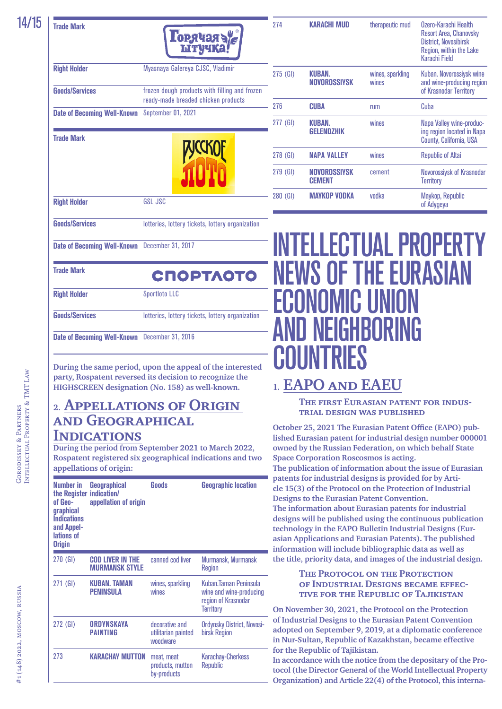#### **Trade Mark**



| <b>Right Holder</b>                | Myasnaya Galereya CJSC, Vladimir                                                     |  |
|------------------------------------|--------------------------------------------------------------------------------------|--|
| <b>Goods/Services</b>              | frozen dough products with filling and frozen<br>ready-made breaded chicken products |  |
| <b>Date of Becoming Well-Known</b> | September 01, 2021                                                                   |  |
| <b>Trade Mark</b>                  |                                                                                      |  |
| <b>Right Holder</b>                | GSL JSC                                                                              |  |
| <b>Goods/Services</b>              | lotteries, lottery tickets, lottery organization                                     |  |
| <b>Date of Becoming Well-Known</b> | December 31, 2017                                                                    |  |

| 274        | <b>KARACHI MUD</b>            | therapeutic mud           | Ozero-Karachi Health<br>Resort Area, Chanovsky<br><b>District, Novosibirsk</b><br>Region, within the Lake<br>Karachi Field |
|------------|-------------------------------|---------------------------|----------------------------------------------------------------------------------------------------------------------------|
| $275$ (GI) | <b>KUBAN.</b><br>NOVOROSSIYSK | wines, sparkling<br>wines | Kuban. Novorossiysk wine<br>and wine-producing region<br>of Krasnodar Territory                                            |
| 276        | CUBA                          | rum                       | Cuba                                                                                                                       |
| 277 (GI)   | KUBAN.<br><b>GELENDZHIK</b>   | wines                     | Napa Valley wine-produc-<br>ing region located in Napa<br>County, California, USA                                          |
| 278 (GI)   | <b>NAPA VALLEY</b>            | wines                     | <b>Republic of Altai</b>                                                                                                   |
| $279$ (GI) | NOVOROSSIYSK<br><b>CEMENT</b> | cement                    | Novorossiysk of Krasnodar<br>Territory                                                                                     |
| 280 (GI)   | MAYKOP VODKA                  | vodka                     | Maykop, Republic<br>of Adygeya                                                                                             |

# <span id="page-13-1"></span>INTELLECTUAL PROPERTY NEWS OF THE EURASIAN ECONOMIC UNION AND NEIGHBORING **COUNTRIES**

### <span id="page-13-2"></span>**1. EAPO and EAEU**

**The first Eurasian patent for industrial design was published**

**October 25, 2021 The Eurasian Patent Office (EAPO) published Eurasian patent for [industrial design number 000001](https://www.eapo.org/ru/publications/publicat/viewbull.php?publ=L&bull=2021-10&id=000001&kind=S1) owned by the Russian Federation, on which behalf State Space Corporation Roscosmos is acting. The publication of information about the issue of Eurasian patents for industrial designs is provided for by Article 15(3) of the Protocol on the Protection of Industrial Designs to the Eurasian Patent Convention. The information about Eurasian patents for industrial designs will be published using the continuous publication technology in the [EAPO Bulletin Industrial Designs \(Eur](https://www.eapo.org/ru/?publs=desbull)[asian Applications and](https://www.eapo.org/ru/?publs=desbull) Eurasian Patents). The published information will include bibliographic data as well as the title, priority data, and images of the industrial design.**

#### **The Protocol on the Protection of Industrial Designs became effective for the Republic of Tajikistan**

**On November 30, 2021, the Protocol on the Protection of Industrial Designs to the Eurasian Patent Convention adopted on September 9, 2019, at a diplomatic conference in Nur-Sultan, Republic of Kazakhstan, became effective for the Republic of Tajikistan.**

**In accordance with the notice from the depositary of the Protocol (the Director General of the World Intellectual Property Organization) and Article 22(4) of the Protocol, this interna-**

СПОРТЛОТО

**Right Holder** Sportloto LLC

**Trade Mark**

**Goods/Services** lotteries, lottery tickets, lottery organization

**Date of Becoming Well-Known** December 31, 2016

**During the same period, upon the appeal of the interested party, Rospatent reversed its decision to recognize the HIGHSCREEN designation (No. 158) as well-known.**

### <span id="page-13-0"></span>**2. Appellations of Origin and Geographical**

### **Indications**

**During the period from September 2021 to March 2022, Rospatent registered six geographical indications and two appellations of origin:**

| Numher in<br>the Register<br>of Gen-<br>graphical<br><b>Indications</b><br>and Appel-<br>lations of<br><b>Origin</b> | Geographical<br>indication/<br>appellation of origin | Goods                                             | <b>Geographic location</b>                                                                   |
|----------------------------------------------------------------------------------------------------------------------|------------------------------------------------------|---------------------------------------------------|----------------------------------------------------------------------------------------------|
| $270$ (GI)                                                                                                           | <b>COD LIVER IN THE</b><br><b>MURMANSK STYLE</b>     | canned cod liver                                  | Murmansk, Murmansk<br><b>Region</b>                                                          |
| $271$ (GI)                                                                                                           | KUBAN. TAMAN<br><b>PFNINSIII A</b>                   | wines, sparkling<br>wines                         | Kuhan. Taman Peninsula<br>wine and wine-producing<br>region of Krasnodar<br><b>Territory</b> |
| 272 (GI)                                                                                                             | <b>ORDYNSKAYA</b><br><b>PAINTING</b>                 | decorative and<br>utilitarian painted<br>woodware | Ordynsky District, Novosi-<br>birsk Region                                                   |
| 273                                                                                                                  | <b>KARACHAY MUTTON</b>                               | meat, meat<br>products, mutton<br>by-products     | <b>Karachay-Cherkess</b><br><b>Republic</b>                                                  |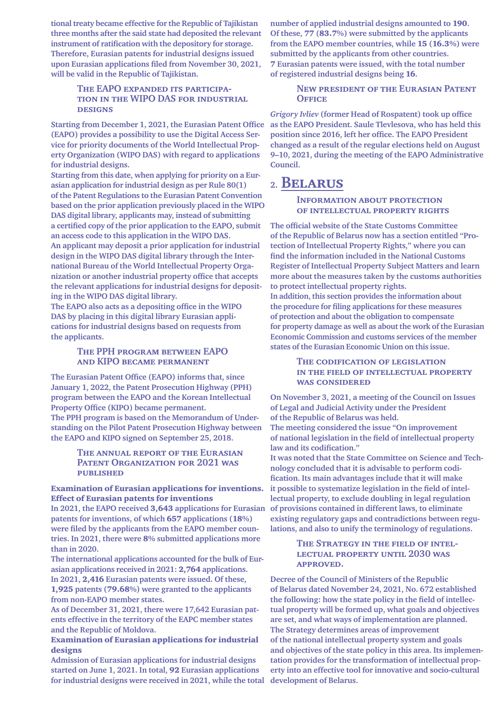**tional treaty became effective for the Republic of Tajikistan three months after the said state had deposited the relevant instrument of ratification with the depository for storage. Therefore, Eurasian patents for industrial designs issued upon Eurasian applications filed from November 30, 2021, will be valid in the Republic of Tajikistan.**

#### **The EAPO expanded its participation in the WIPO DAS for industrial designs**

**Starting from December 1, 2021, the Eurasian Patent Office (EAPO) provides a possibility to use the Digital Access Service for priority documents of the World Intellectual Property Organization (WIPO DAS) with regard to applications for industrial designs.**

**Starting from this date, when applying for priority on a Eurasian application for industrial design as per Rule 80(1) of the Patent Regulations to the Eurasian Patent Convention based on the prior application previously placed in the WIPO DAS digital library, applicants may, instead of submitting a certified copy of the prior application to the EAPO, submit an access code to this application in the WIPO DAS. An applicant may deposit a prior application for industrial design in the WIPO DAS digital library through the International Bureau of the World Intellectual Property Organization or another industrial property office that accepts the relevant applications for industrial designs for depositing in the WIPO DAS digital library.**

**The EAPO also acts as a depositing office in the WIPO DAS by placing in this digital library Eurasian applications for industrial designs based on requests from the applicants.**

#### **The PPH program between EAPO and KIPO became permanent**

**The Eurasian Patent Office (EAPO) informs that, since January 1, 2022, the Patent Prosecution Highway (PPH) program between the EAPO and the Korean Intellectual Property Office (KIPO) became permanent. The PPH program is based on the [Memorandum of](https://www.eapo.org/pdf/home/international/2018/KIPO_PPH_ru_20181004.pdf) Understanding on the [Pilot Patent Prosecution Highway between](https://www.eapo.org/pdf/home/international/2018/KIPO_PPH_ru_20181004.pdf)  the [EAPO and](https://www.eapo.org/pdf/home/international/2018/KIPO_PPH_ru_20181004.pdf) KIPO signed on September 25, 2018.**

#### **The [annual report of](https://www.eapo.org/ru/publications/reports/report2021/index_ru.html) the Eurasian [Patent Organization for](https://www.eapo.org/ru/publications/reports/report2021/index_ru.html) 2021 was [published](https://www.eapo.org/ru/publications/reports/report2021/index_ru.html)**

#### Examination of Eurasian applications for inventions. Effect of Eurasian patents for inventions

**In 2021, the EAPO received** 3,643 **applications for Eurasian patents for inventions, of which** 657 **applications (**18**%) were filed by the applicants from the EAPO member countries. In 2021, there were** 8**% submitted applications more than in 2020.**

**The international applications accounted for the bulk of Eurasian applications received in 2021:** 2,764 **applications. In 2021,** 2,416 **Eurasian patents were issued. Of these,**  1,925 **patents (**79.68**%) were granted to the applicants from non-EAPO member states.**

**As of December 31, 2021, there were 17,642 Eurasian patents effective in the territory of the EAPC member states and the Republic of Moldova.**

#### Examination of Eurasian applications for industrial designs

**Admission of Eurasian applications for industrial designs started on June 1, 2021. In total,** 92 **Eurasian applications for industrial designs were received in 2021, while the total** 

**number of applied industrial designs amounted to** 190**. Of these,** 77 **(**83.7**%) were submitted by the applicants from the EAPO member countries, while** 15 **(**16.3**%) were submitted by the applicants from other countries.** 7 **Eurasian patents were issued, with the total number of registered industrial designs being** 16**.**

#### **New president of the Eurasian Patent OFFICE**

*Grigory Ivliev* **(former Head of Rospatent) [took up office](https://www.eapo.org/ru/index.php?newspress=view&d=1230)  as the [EAPO President](https://www.eapo.org/ru/index.php?newspress=view&d=1230). Saule Tlevlesova, who has held this position since 2016, left her office. The EAPO President changed as a result of the regular elections held on August 9–10, 2021, during the meeting of the EAPO Administrative Council.**

### <span id="page-14-0"></span>**2. Belarus**

#### **Information about protection of intellectual property rights**

**The official website of the State Customs Committee of the Republic of Belarus now has a section entitled "[Pro](http://www.gtk.gov.by/ru/intellectualnaya_sobstvennost-ru/)tection of [Intellectual Property Rights](http://www.gtk.gov.by/ru/intellectualnaya_sobstvennost-ru/)," where you can find the information included in the National Customs Register of Intellectual Property Subject Matters and learn more about the measures taken by the customs authorities to protect intellectual property rights.**

**In addition, this section provides the information about the procedure for filing applications for these measures of protection and about the obligation to compensate for property damage as well as about the work of the Eurasian Economic Commission and customs services of the member states of the Eurasian Economic Union on this issue.**

#### **The codification of legislation in the field of intellectual property was considered**

**On November 3, 2021, a meeting of the Council on Issues of Legal and Judicial Activity under the President of the Republic of Belarus was held. The meeting considered the issue "On improvement** 

**of national legislation in the field of intellectual property law and its codification."**

**It was noted that the State Committee on Science and Technology concluded that it is advisable to perform codification. Its main advantages include that it will make it possible to systematize legislation in the field of intellectual property, to exclude doubling in legal regulation of provisions contained in different laws, to eliminate existing regulatory gaps and contradictions between regulations, and also to unify the terminology of regulations.**

#### **The Strategy in the field of intel[lectual property until 2030 was](https://etalonline.by/document/?regnum=c22100672#%D0%97%D0%B0%D0%B3_%D0%A3%D1%82%D0%B2_1)  [approved.](https://etalonline.by/document/?regnum=c22100672#%D0%97%D0%B0%D0%B3_%D0%A3%D1%82%D0%B2_1)**

**Decree of the Council of [Ministers of](https://etalonline.by/document/?regnum=c22100672) the Republic of [Belarus dated November 24, 2021, No. 672](https://etalonline.by/document/?regnum=c22100672) established the following: how the state policy in the field of intellectual property will be formed up, what goals and objectives are set, and what ways of implementation are planned. The Strategy determines areas of improvement of the national intellectual property system and goals and objectives of the state policy in this area. Its implementation provides for the transformation of intellectual property into an effective tool for innovative and socio-cultural development of Belarus.**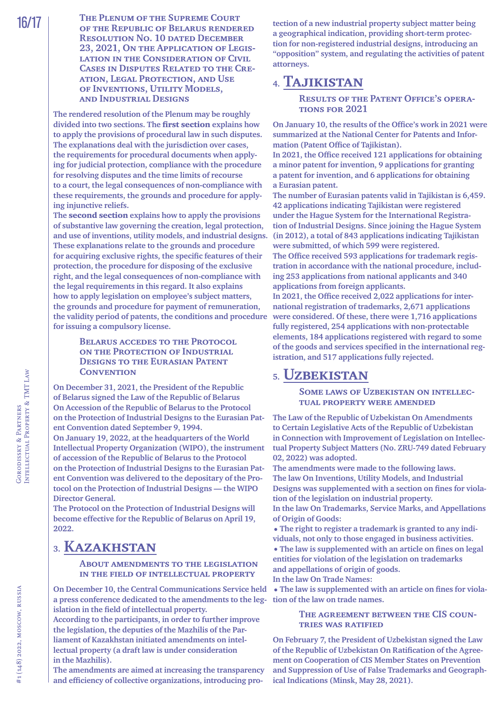**The rendered resolution of the Plenum may be roughly divided into two sections. The** first section **explains how to apply the provisions of procedural law in such disputes. The explanations deal with the jurisdiction over cases, the requirements for procedural documents when applying for judicial protection, compliance with the procedure for resolving disputes and the time limits of recourse to a court, the legal consequences of non-compliance with these requirements, the grounds and procedure for applying injunctive reliefs.**

**The** second section **explains how to apply the provisions of substantive law governing the creation, legal protection, and use of inventions, utility models, and industrial designs. These explanations relate to the grounds and procedure for acquiring exclusive rights, the specific features of their protection, the procedure for disposing of the exclusive right, and the legal consequences of non-compliance with the legal requirements in this regard. It also explains how to apply legislation on employee's subject matters, the grounds and procedure for payment of remuneration, the validity period of patents, the conditions and procedure for issuing a compulsory license.**

#### **Belarus accedes to the Protocol on the Protection of Industrial Designs to the Eurasian Patent CONVENTION**

**On December 31, 2021, the President of the Republic of Belarus signed the Law of the Republic of Belarus On Accession of the Republic of Belarus to the Protocol on the Protection of Industrial Designs to the Eurasian Patent Convention dated September 9, 1994. On January 19, 2022, at the headquarters of the World Intellectual Property Organization (WIPO), the instrument of accession of the Republic of Belarus to the Protocol** 

**on the Protection of Industrial Designs to the Eurasian Patent Convention was delivered to the depositary of the Protocol on the Protection of Industrial Designs — the WIPO Director General.**

**The Protocol on the Protection of Industrial Designs will become effective for the Republic of Belarus on April 19, 2022.**

### <span id="page-15-0"></span>**3. Kazakhstan**

#### **About amendments to the legislation in the field of intellectual property**

**On December 10, the Central Communications Service held a press conference dedicated to the amendments to the legislation in the field of intellectual property.**

**According to the participants, in order to further improve the legislation, the deputies of the Mazhilis of the Parliament of Kazakhstan initiated amendments on intellectual property (a draft law is under consideration in the Mazhilis).**

**The amendments are aimed at increasing the transparency and efficiency of collective organizations, introducing pro-** **tection of a new industrial property subject matter being a geographical indication, providing short-term protection for non-registered industrial designs, introducing an "opposition" system, and regulating the activities of patent attorneys.**

### <span id="page-15-1"></span>**4. Tajikistan**

**Results of the Patent Office's operations for 2021**

**On January 10, the results of the [Office's work in](http://ncpi.tj/2022/01/11/%d0%b8%d1%82%d0%be%d0%b3%d0%b8-%d0%b4%d0%b5%d1%8f%d1%82%d0%b5%d0%bb%d1%8c%d0%bd%d0%be%d1%81%d1%82%d0%b8-%d0%b2%d0%b5%d0%b4%d0%be%d0%bc%d1%81%d1%82%d0%b2%d0%b0-%d0%b7%d0%b0-2021-%d0%b3%d0%be%d0%b4/) 2021 were summarized at the National Center for Patents and Information (Patent Office of Tajikistan).**

**In 2021, the Office received 121 applications for obtaining a minor patent for invention, 9 applications for granting a patent for invention, and 6 applications for obtaining a Eurasian patent.**

**The number of Eurasian patents valid in Tajikistan is 6,459. 42 applications indicating Tajikistan were registered under the Hague System for the International Registration of Industrial Designs. Since joining the Hague System (in 2012), a total of 843 applications indicating Tajikistan were submitted, of which 599 were registered.**

**The Office received 593 applications for trademark registration in accordance with the national procedure, including 253 applications from national applicants and 340 applications from foreign applicants.**

**In 2021, the Office received 2,022 applications for international registration of trademarks, 2,671 applications were considered. Of these, there were 1,716 applications fully registered, 254 applications with non-protectable elements, 184 applications registered with regard to some of the goods and services specified in the international registration, and 517 applications fully rejected.**

### <span id="page-15-2"></span>**5. Uzbekistan**

**Some laws of Uzbekistan on intellectual property were amended**

**The Law of the Republic of Uzbekistan On Amendments to Certain Legislative Acts of the Republic of Uzbekistan in Connection with Improvement of Legislation on Intellectual Property Subject Matters (No. ZRU-749 dated February 02, 2022) was adopted.**

**The amendments were made to the following laws. The law On Inventions, Utility Models, and Industrial Designs was supplemented with a section on fines for violation of the legislation on industrial property.**

**In the law On Trademarks, Service Marks, and Appellations of Origin of Goods:**

**•The right to register a trademark is granted to any individuals, not only to those engaged in business activities.**

**•The law is supplemented with an article on fines on legal entities for violation of the legislation on trademarks and appellations of origin of goods.**

**In the law On Trade Names:**

**•The law is supplemented with an article on fines for violation of the law on trade names.**

#### **The agreement between the CIS countries was ratified**

**On February 7, the President of Uzbekistan signed the Law of the Republic of Uzbekistan On Ratification of the Agreement on Cooperation of CIS Member States on Prevention and Suppression of Use of False Trademarks and Geographical Indications (Minsk, May 28, 2021).**